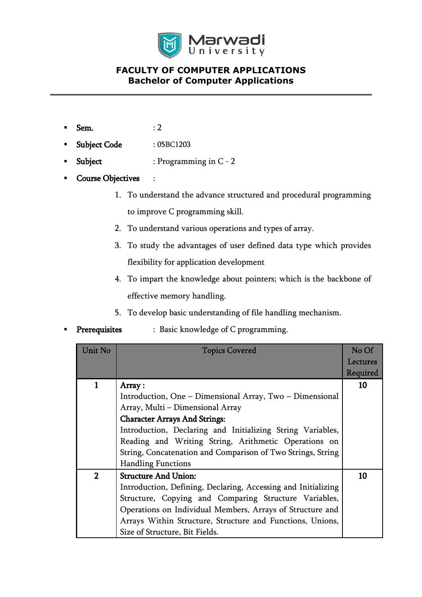

- Sem. : 2
- Subject Code : 05BC1203
- Subject : Programming in C 2
- Course Objectives :
	- 1. To understand the advance structured and procedural programming to improve C programming skill.
	- 2. To understand various operations and types of array.
	- 3. To study the advantages of user defined data type which provides flexibility for application development
	- 4. To impart the knowledge about pointers; which is the backbone of effective memory handling.
	- 5. To develop basic understanding of file handling mechanism.
- Prerequisites : Basic knowledge of C programming.

| Unit No        | <b>Topics Covered</b>                                         | No Of    |
|----------------|---------------------------------------------------------------|----------|
|                |                                                               | Lectures |
|                |                                                               | Required |
|                | Array:                                                        | 10       |
|                | Introduction, One - Dimensional Array, Two - Dimensional      |          |
|                | Array, Multi - Dimensional Array                              |          |
|                | <b>Character Arrays And Strings:</b>                          |          |
|                | Introduction, Declaring and Initializing String Variables,    |          |
|                | Reading and Writing String, Arithmetic Operations on          |          |
|                | String, Concatenation and Comparison of Two Strings, String   |          |
|                | <b>Handling Functions</b>                                     |          |
| $\overline{2}$ | <b>Structure And Union:</b>                                   | 10       |
|                | Introduction, Defining, Declaring, Accessing and Initializing |          |
|                | Structure, Copying and Comparing Structure Variables,         |          |
|                | Operations on Individual Members, Arrays of Structure and     |          |
|                | Arrays Within Structure, Structure and Functions, Unions,     |          |
|                | Size of Structure, Bit Fields.                                |          |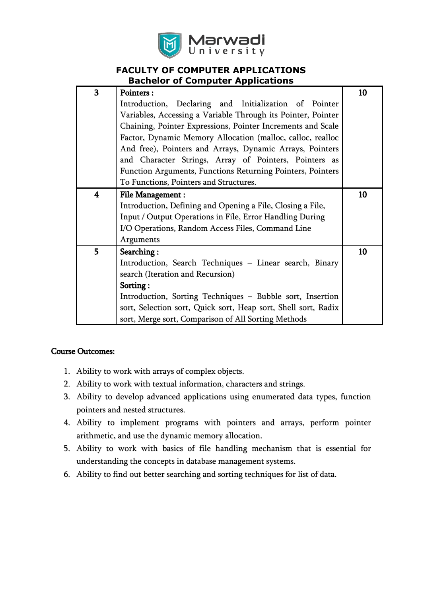

| 3 | <b>Pointers:</b>                                               | 10 |
|---|----------------------------------------------------------------|----|
|   | Introduction, Declaring and Initialization of Pointer          |    |
|   | Variables, Accessing a Variable Through its Pointer, Pointer   |    |
|   | Chaining, Pointer Expressions, Pointer Increments and Scale    |    |
|   | Factor, Dynamic Memory Allocation (malloc, calloc, realloc     |    |
|   | And free), Pointers and Arrays, Dynamic Arrays, Pointers       |    |
|   | and Character Strings, Array of Pointers, Pointers as          |    |
|   |                                                                |    |
|   | Function Arguments, Functions Returning Pointers, Pointers     |    |
|   | To Functions, Pointers and Structures.                         |    |
| 4 | <b>File Management:</b>                                        | 10 |
|   | Introduction, Defining and Opening a File, Closing a File,     |    |
|   | Input / Output Operations in File, Error Handling During       |    |
|   | I/O Operations, Random Access Files, Command Line              |    |
|   | Arguments                                                      |    |
| 5 | Searching:                                                     | 10 |
|   | Introduction, Search Techniques - Linear search, Binary        |    |
|   | search (Iteration and Recursion)                               |    |
|   | Sorting:                                                       |    |
|   | Introduction, Sorting Techniques - Bubble sort, Insertion      |    |
|   | sort, Selection sort, Quick sort, Heap sort, Shell sort, Radix |    |
|   | sort, Merge sort, Comparison of All Sorting Methods            |    |

#### Course Outcomes:

- 1. Ability to work with arrays of complex objects.
- 2. Ability to work with textual information, characters and strings.
- 3. Ability to develop advanced applications using enumerated data types, function pointers and nested structures.
- 4. Ability to implement programs with pointers and arrays, perform pointer arithmetic, and use the dynamic memory allocation.
- 5. Ability to work with basics of file handling mechanism that is essential for understanding the concepts in database management systems.
- 6. Ability to find out better searching and sorting techniques for list of data.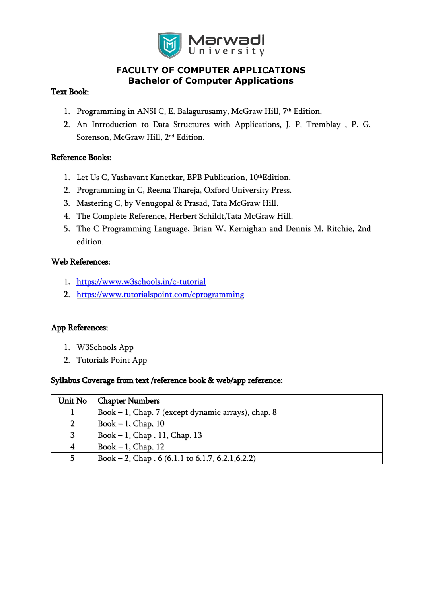

#### Text Book:

- 1. Programming in ANSI C, E. Balagurusamy, McGraw Hill, 7<sup>th</sup> Edition.
- 2. An Introduction to Data Structures with Applications, J. P. Tremblay , P. G. Sorenson, McGraw Hill, 2 nd Edition.

#### Reference Books:

- 1. Let Us C, Yashavant Kanetkar, BPB Publication, 10<sup>th</sup>Edition.
- 2. Programming in C, Reema Thareja, Oxford University Press.
- 3. Mastering C, by Venugopal & Prasad, Tata McGraw Hill.
- 4. The Complete Reference, Herbert Schildt,Tata McGraw Hill.
- 5. The C Programming Language, Brian W. Kernighan and Dennis M. Ritchie, 2nd edition.

#### Web References:

- 1. <https://www.w3schools.in/c-tutorial>
- 2. <https://www.tutorialspoint.com/cprogramming>

### App References:

- 1. W3Schools App
- 2. Tutorials Point App

#### Syllabus Coverage from text /reference book & web/app reference:

| Unit No        | <b>Chapter Numbers</b>                                     |
|----------------|------------------------------------------------------------|
|                | Book - 1, Chap. 7 (except dynamic arrays), chap. 8         |
| $\overline{2}$ | Book $-1$ , Chap. 10                                       |
| 3              | Book $-1$ , Chap. 11, Chap. 13                             |
| 4              | Book $-1$ , Chap. 12                                       |
| 5              | Book – 2, Chap $.6(6.1.1 \text{ to } 6.1.7, 6.2.1, 6.2.2)$ |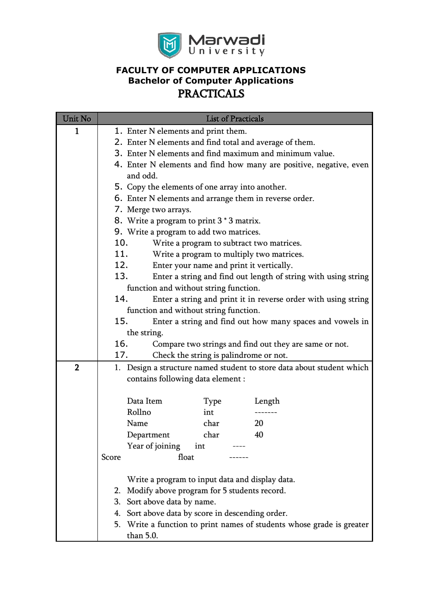

| Unit No        | <b>List of Practicals</b>                                             |  |  |
|----------------|-----------------------------------------------------------------------|--|--|
| 1              | 1. Enter N elements and print them.                                   |  |  |
|                | 2. Enter N elements and find total and average of them.               |  |  |
|                | 3. Enter N elements and find maximum and minimum value.               |  |  |
|                | 4. Enter N elements and find how many are positive, negative, even    |  |  |
|                | and odd.                                                              |  |  |
|                | 5. Copy the elements of one array into another.                       |  |  |
|                | 6. Enter N elements and arrange them in reverse order.                |  |  |
|                | 7. Merge two arrays.                                                  |  |  |
|                | 8. Write a program to print 3 * 3 matrix.                             |  |  |
|                | 9. Write a program to add two matrices.                               |  |  |
|                | 10.<br>Write a program to subtract two matrices.                      |  |  |
|                | 11.<br>Write a program to multiply two matrices.                      |  |  |
|                | 12.<br>Enter your name and print it vertically.                       |  |  |
|                | 13.<br>Enter a string and find out length of string with using string |  |  |
|                | function and without string function.                                 |  |  |
|                | 14.<br>Enter a string and print it in reverse order with using string |  |  |
|                | function and without string function.                                 |  |  |
|                | 15.<br>Enter a string and find out how many spaces and vowels in      |  |  |
|                | the string.                                                           |  |  |
|                | 16.<br>Compare two strings and find out they are same or not.         |  |  |
|                | Check the string is palindrome or not.<br>17.                         |  |  |
| $\overline{2}$ | 1. Design a structure named student to store data about student which |  |  |
|                | contains following data element :                                     |  |  |
|                | Data Item<br>Type<br>Length                                           |  |  |
|                | Rollno<br>int                                                         |  |  |
|                | 20<br>char<br>Name                                                    |  |  |
|                | char<br>Department<br>40                                              |  |  |
|                | Year of joining<br>int                                                |  |  |
|                | float<br>Score                                                        |  |  |
|                |                                                                       |  |  |
|                | Write a program to input data and display data.                       |  |  |
|                | 2. Modify above program for 5 students record.                        |  |  |
|                | 3. Sort above data by name.                                           |  |  |
|                | 4. Sort above data by score in descending order.                      |  |  |
|                | 5. Write a function to print names of students whose grade is greater |  |  |
|                | than 5.0.                                                             |  |  |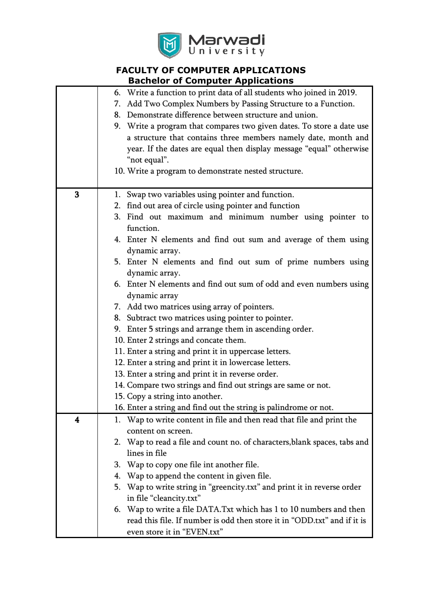

|                         | 6. Write a function to print data of all students who joined in 2019.      |  |
|-------------------------|----------------------------------------------------------------------------|--|
|                         | Add Two Complex Numbers by Passing Structure to a Function.<br>7.          |  |
|                         | Demonstrate difference between structure and union.<br>8.                  |  |
|                         | 9. Write a program that compares two given dates. To store a date use      |  |
|                         | a structure that contains three members namely date, month and             |  |
|                         | year. If the dates are equal then display message "equal" otherwise        |  |
|                         | "not equal".                                                               |  |
|                         | 10. Write a program to demonstrate nested structure.                       |  |
|                         |                                                                            |  |
| 3                       | 1. Swap two variables using pointer and function.                          |  |
|                         | 2. find out area of circle using pointer and function                      |  |
|                         | 3. Find out maximum and minimum number using pointer to                    |  |
|                         | function.                                                                  |  |
|                         | 4. Enter N elements and find out sum and average of them using             |  |
|                         | dynamic array.                                                             |  |
|                         | 5. Enter N elements and find out sum of prime numbers using                |  |
|                         | dynamic array.                                                             |  |
|                         | 6. Enter N elements and find out sum of odd and even numbers using         |  |
|                         | dynamic array                                                              |  |
|                         | 7. Add two matrices using array of pointers.                               |  |
|                         | 8. Subtract two matrices using pointer to pointer.                         |  |
|                         | 9. Enter 5 strings and arrange them in ascending order.                    |  |
|                         | 10. Enter 2 strings and concate them.                                      |  |
|                         | 11. Enter a string and print it in uppercase letters.                      |  |
|                         | 12. Enter a string and print it in lowercase letters.                      |  |
|                         | 13. Enter a string and print it in reverse order.                          |  |
|                         | 14. Compare two strings and find out strings are same or not.              |  |
|                         | 15. Copy a string into another.                                            |  |
|                         | 16. Enter a string and find out the string is palindrome or not.           |  |
| $\overline{\mathbf{4}}$ | 1. Wap to write content in file and then read that file and print the      |  |
|                         | content on screen.                                                         |  |
|                         | 2. Wap to read a file and count no. of characters, blank spaces, tabs and  |  |
|                         | lines in file                                                              |  |
|                         | 3. Wap to copy one file int another file.                                  |  |
|                         | Wap to append the content in given file.<br>4.                             |  |
|                         | Wap to write string in "greencity.txt" and print it in reverse order<br>5. |  |
|                         | in file "cleancity.txt"                                                    |  |
|                         | 6. Wap to write a file DATA. Txt which has 1 to 10 numbers and then        |  |
|                         | read this file. If number is odd then store it in "ODD.txt" and if it is   |  |
|                         | even store it in "EVEN.txt"                                                |  |